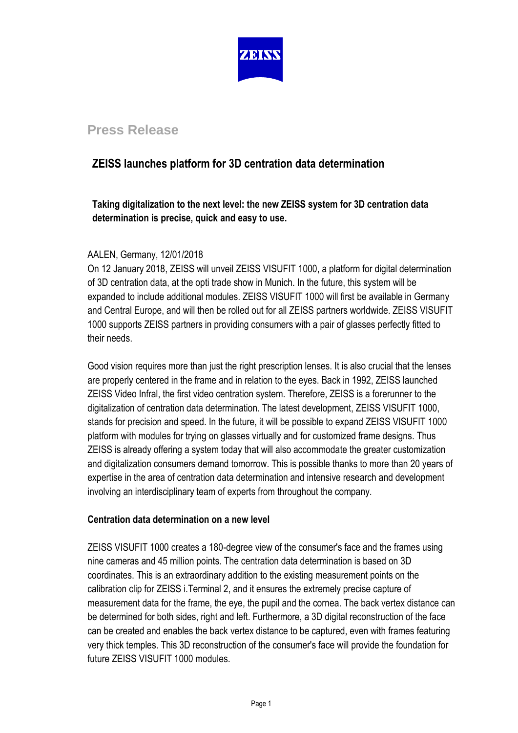

## **Press Release**

## **ZEISS launches platform for 3D centration data determination**

**Taking digitalization to the next level: the new ZEISS system for 3D centration data determination is precise, quick and easy to use.**

### AALEN, Germany, 12/01/2018

On 12 January 2018, ZEISS will unveil ZEISS VISUFIT 1000, a platform for digital determination of 3D centration data, at the opti trade show in Munich. In the future, this system will be expanded to include additional modules. ZEISS VISUFIT 1000 will first be available in Germany and Central Europe, and will then be rolled out for all ZEISS partners worldwide. ZEISS VISUFIT 1000 supports ZEISS partners in providing consumers with a pair of glasses perfectly fitted to their needs.

Good vision requires more than just the right prescription lenses. It is also crucial that the lenses are properly centered in the frame and in relation to the eyes. Back in 1992, ZEISS launched ZEISS Video Infral, the first video centration system. Therefore, ZEISS is a forerunner to the digitalization of centration data determination. The latest development, ZEISS VISUFIT 1000, stands for precision and speed. In the future, it will be possible to expand ZEISS VISUFIT 1000 platform with modules for trying on glasses virtually and for customized frame designs. Thus ZEISS is already offering a system today that will also accommodate the greater customization and digitalization consumers demand tomorrow. This is possible thanks to more than 20 years of expertise in the area of centration data determination and intensive research and development involving an interdisciplinary team of experts from throughout the company.

### **Centration data determination on a new level**

ZEISS VISUFIT 1000 creates a 180-degree view of the consumer's face and the frames using nine cameras and 45 million points. The centration data determination is based on 3D coordinates. This is an extraordinary addition to the existing measurement points on the calibration clip for ZEISS i.Terminal 2, and it ensures the extremely precise capture of measurement data for the frame, the eye, the pupil and the cornea. The back vertex distance can be determined for both sides, right and left. Furthermore, a 3D digital reconstruction of the face can be created and enables the back vertex distance to be captured, even with frames featuring very thick temples. This 3D reconstruction of the consumer's face will provide the foundation for future ZEISS VISUFIT 1000 modules.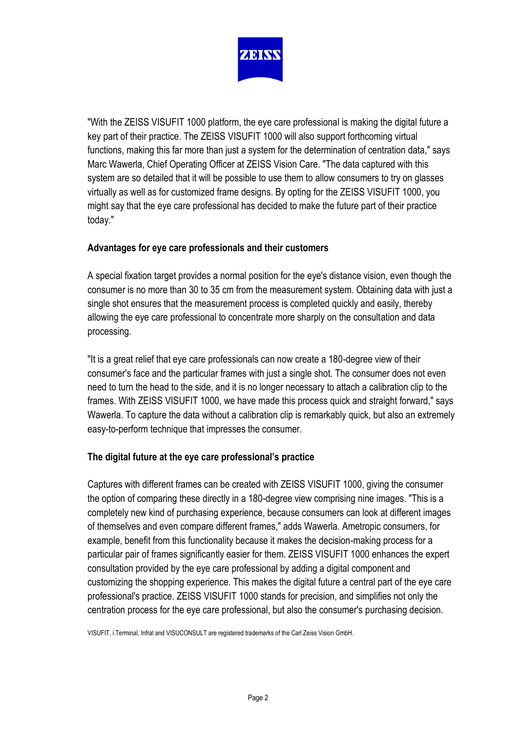

"With the ZEISS VISUFIT 1000 platform, the eye care professional is making the digital future a key part of their practice. The ZEISS VISUFIT 1000 will also support forthcoming virtual functions, making this far more than just a system for the determination of centration data," says Marc Wawerla, Chief Operating Officer at ZEISS Vision Care. "The data captured with this system are so detailed that it will be possible to use them to allow consumers to try on glasses virtually as well as for customized frame designs. By opting for the ZEISS VISUFIT 1000, you might say that the eye care professional has decided to make the future part of their practice today."

### **Advantages for eye care professionals and their customers**

A special fixation target provides a normal position for the eye's distance vision, even though the consumer is no more than 30 to 35 cm from the measurement system. Obtaining data with just a single shot ensures that the measurement process is completed quickly and easily, thereby allowing the eye care professional to concentrate more sharply on the consultation and data processing.

"It is a great relief that eye care professionals can now create a 180-degree view of their consumer's face and the particular frames with just a single shot. The consumer does not even need to turn the head to the side, and it is no longer necessary to attach a calibration clip to the frames. With ZEISS VISUFIT 1000, we have made this process quick and straight forward," says Wawerla. To capture the data without a calibration clip is remarkably quick, but also an extremely easy-to-perform technique that impresses the consumer.

### **The digital future at the eye care professional's practice**

Captures with different frames can be created with ZEISS VISUFIT 1000, giving the consumer the option of comparing these directly in a 180-degree view comprising nine images. "This is a completely new kind of purchasing experience, because consumers can look at different images of themselves and even compare different frames," adds Wawerla. Ametropic consumers, for example, benefit from this functionality because it makes the decision-making process for a particular pair of frames significantly easier for them. ZEISS VISUFIT 1000 enhances the expert consultation provided by the eye care professional by adding a digital component and customizing the shopping experience. This makes the digital future a central part of the eye care professional's practice. ZEISS VISUFIT 1000 stands for precision, and simplifies not only the centration process for the eye care professional, but also the consumer's purchasing decision.

VISUFIT, i.Terminal, Infral and VISUCONSULT are registered trademarks of the Carl Zeiss Vision GmbH.